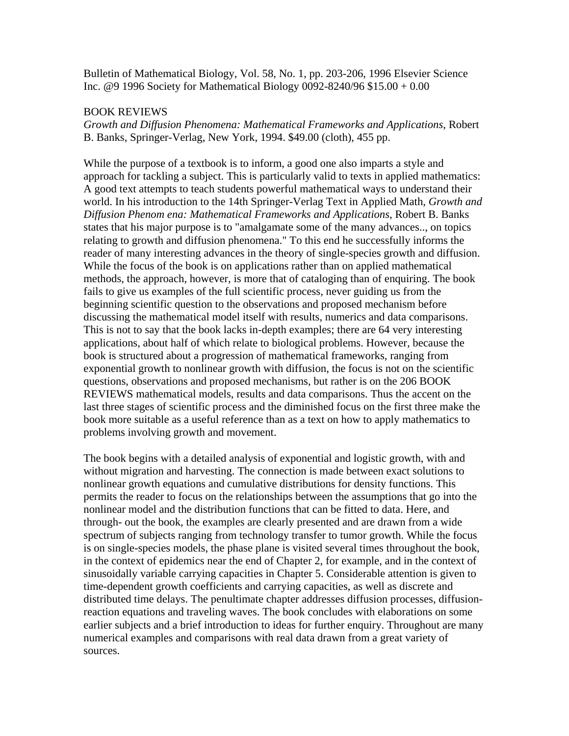Bulletin of Mathematical Biology, Vol. 58, No. 1, pp. 203-206, 1996 Elsevier Science Inc. @9 1996 Society for Mathematical Biology 0092-8240/96 \$15.00 + 0.00

## BOOK REVIEWS

*Growth and Diffusion Phenomena: Mathematical Frameworks and Applications*, Robert B. Banks, Springer-Verlag, New York, 1994. \$49.00 (cloth), 455 pp.

While the purpose of a textbook is to inform, a good one also imparts a style and approach for tackling a subject. This is particularly valid to texts in applied mathematics: A good text attempts to teach students powerful mathematical ways to understand their world. In his introduction to the 14th Springer-Verlag Text in Applied Math, *Growth and Diffusion Phenom ena: Mathematical Frameworks and Applications*, Robert B. Banks states that his major purpose is to "amalgamate some of the many advances.., on topics relating to growth and diffusion phenomena." To this end he successfully informs the reader of many interesting advances in the theory of single-species growth and diffusion. While the focus of the book is on applications rather than on applied mathematical methods, the approach, however, is more that of cataloging than of enquiring. The book fails to give us examples of the full scientific process, never guiding us from the beginning scientific question to the observations and proposed mechanism before discussing the mathematical model itself with results, numerics and data comparisons. This is not to say that the book lacks in-depth examples; there are 64 very interesting applications, about half of which relate to biological problems. However, because the book is structured about a progression of mathematical frameworks, ranging from exponential growth to nonlinear growth with diffusion, the focus is not on the scientific questions, observations and proposed mechanisms, but rather is on the 206 BOOK REVIEWS mathematical models, results and data comparisons. Thus the accent on the last three stages of scientific process and the diminished focus on the first three make the book more suitable as a useful reference than as a text on how to apply mathematics to problems involving growth and movement.

The book begins with a detailed analysis of exponential and logistic growth, with and without migration and harvesting. The connection is made between exact solutions to nonlinear growth equations and cumulative distributions for density functions. This permits the reader to focus on the relationships between the assumptions that go into the nonlinear model and the distribution functions that can be fitted to data. Here, and through- out the book, the examples are clearly presented and are drawn from a wide spectrum of subjects ranging from technology transfer to tumor growth. While the focus is on single-species models, the phase plane is visited several times throughout the book, in the context of epidemics near the end of Chapter 2, for example, and in the context of sinusoidally variable carrying capacities in Chapter 5. Considerable attention is given to time-dependent growth coefficients and carrying capacities, as well as discrete and distributed time delays. The penultimate chapter addresses diffusion processes, diffusionreaction equations and traveling waves. The book concludes with elaborations on some earlier subjects and a brief introduction to ideas for further enquiry. Throughout are many numerical examples and comparisons with real data drawn from a great variety of sources.